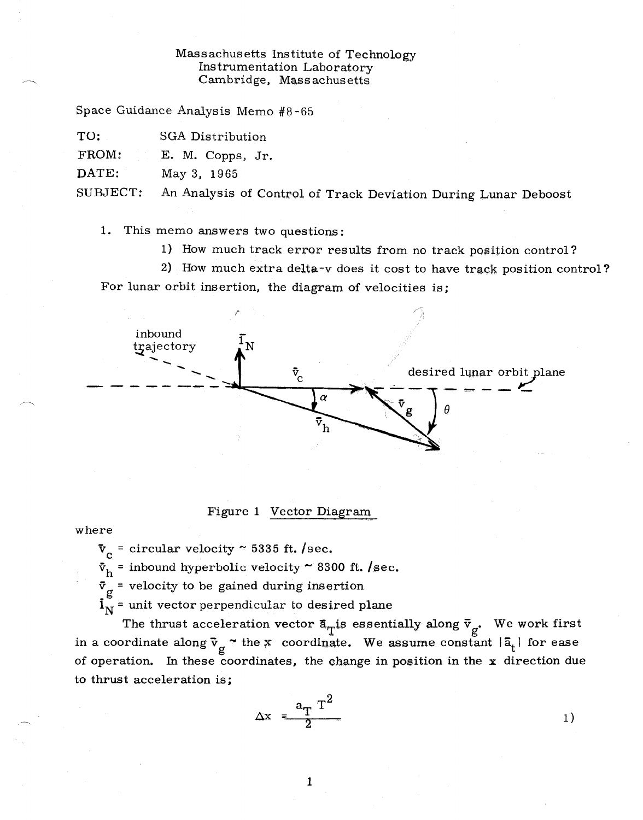## Massachusetts Institute of Technology Instrumentation Laboratory Cambridge, Mass achusetts

Space Guidance Analysis Memo #8-65

TO: SGA Distribution

FROM: E. M. Copps, Jr.

DATE: May 3, 1965

SUBJECT: An Analysis of Control of Track Deviation During Lunar Deboost

1. This memo answers two questions:

1) How much track error results from no track position control?

2) How much extra delta-v does it cost to have track position control? For lunar orbit insertion, the diagram of velocities is;



## Figure 1 Vector Diagram

where

 $\mathbf{v_c}$  = circular velocity ~ 5335 ft. /sec.

 $\bar{v}_h$  = inbound hyperbolic velocity ~ 8300 ft. /sec.

 $\bar{v}_g$  = velocity to be gained during insertion

 $i_{\rm N}$  = unit vector perpendicular to desired plane

The thrust acceleration vector  $\bar{a}_{\text{T}}$  is essentially along  $\bar{v}_{g}$ . We work first in a coordinate along  $\bar{v}_g$  "the x coordinate. We assume constant  $|\bar{a}_t|$  for ease of operation. In these coordinates, the change in position in the  $x$  direction due to thrust acceleration is;

$$
\Delta x = \frac{a_T T^2}{2} \tag{1}
$$

 $\mathbf{1}$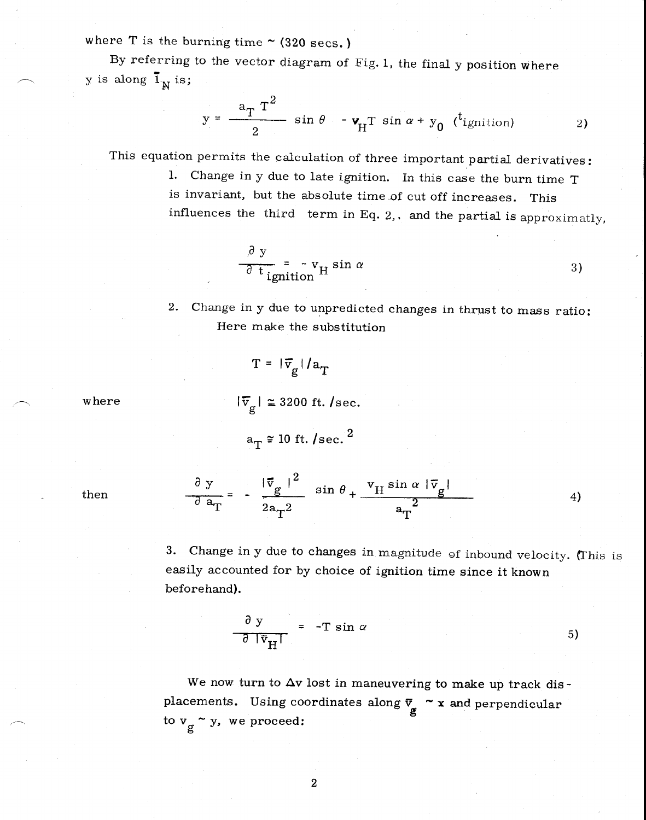where T is the burning time  $\sim$  (320 secs.)

By referring to the vector diagram of Fig. 1, the final y position where y is along  $\overline{1}_N$  is;

$$
y = \frac{a_T T^2}{2} \sin \theta - v_H T \sin \alpha + y_0 \text{ (}^t \text{ignition)}
$$
 (2)

This equation permits the calculation of three important partial derivatives:

1. Change in y due to late ignition. In this case the burn time T is invariant, but the absolute time of cut off increases. This influences the third term in Eq. 2,. and the partial is approximatly,

$$
\frac{\partial y}{\partial t_{\text{ignition}}} = -v_{\text{H}} \sin \alpha \tag{3}
$$

2. Change in y due to unpredicted changes in thrust to mass ratio: Here make the substitution

$$
T = |\overline{v}_g| / a_T
$$

 $|\overline{v}_g| \approx 3200$  ft. /sec.

$$
a_T \approx 10 \text{ ft. /sec.}^2
$$

then

where

 $\frac{\partial y}{\partial x} = -\frac{|\vec{v}_g|^2}{g} \sin \theta + \frac{v_H \sin \alpha |\vec{v}_g|^2}{g}$  $a_T$   $a_T^2$   $a_T^2$ 4)

3. Change in y due to changes in magnitude of inbound velocity. (This is easily accounted for by choice of ignition time since it known beforehand).

$$
\frac{\partial y}{\partial |\vec{v}_{H}|} = -T \sin \alpha \qquad (5)
$$

We now turn to  $\Delta v$  lost in maneuvering to make up track displacements. Using coordinates along  $\bar{v}_{g} \sim x$  and perpendicular to  $v_g \sim y$ , we proceed: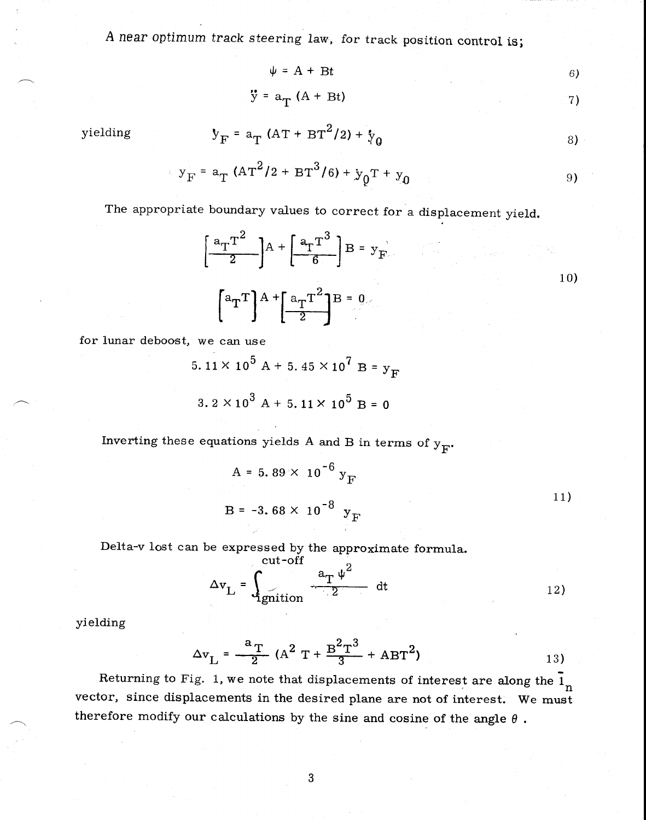A near optimum track steering law, for track position control is;

$$
\psi = A + Bt
$$
 (6)

 $\ddot{y} = a_T(A + Bt)$  (2)

yielding 
$$
y_F = a_T (AT + BT^2/2) + y_0
$$
 (8)

$$
y_F = a_T (AT^2/2 + BT^3/6) + y_0T + y_0
$$
 (9)

The appropriate boundary values to correct for a displacement yield.

$$
\left[\frac{a_{T}T^{2}}{2}\right]A + \left[\frac{a_{T}T^{3}}{6}\right]B = y_{F}
$$
\n
$$
\left[a_{T}T\right]A + \left[\frac{a_{T}T^{2}}{2}\right]B = 0
$$
\n
$$
(10)
$$

for lunar deboost, we can use

$$
5.11 \times 10^{5} \text{ A} + 5.45 \times 10^{7} \text{ B} = \text{y}_{\text{F}}
$$

$$
3.2 \times 10^{3} \text{ A} + 5.11 \times 10^{5} \text{ B} = 0
$$

Inverting these equations yields A and B in terms of  $y_F$ .

$$
A = 5.89 \times 10^{-6} y_F
$$
  
B = -3.68 × 10<sup>-8</sup> y<sub>F</sub> (11)

Delta-v lost can be expressed by the approximate formula.  $\text{crit}-\text{off}$ 

$$
\Delta v_{\rm L} = \int_{\rm 1}^{\rm cut \, on} \frac{a_{\rm T} \psi^2}{2} dt
$$
 (12)

$$
yielding
$$

$$
\Delta v_{\rm L} = \frac{a_{\rm T}}{2} (A^2 T + \frac{B^2 T^3}{3} + A B T^2)
$$
 (13)

Returning to Fig. 1, we note that displacements of interest are along the  $1\text{m}$ vector, since displacements in the desired plane are not of interest. We must therefore modify our calculations by the sine and cosine of the angle  $\theta$ .